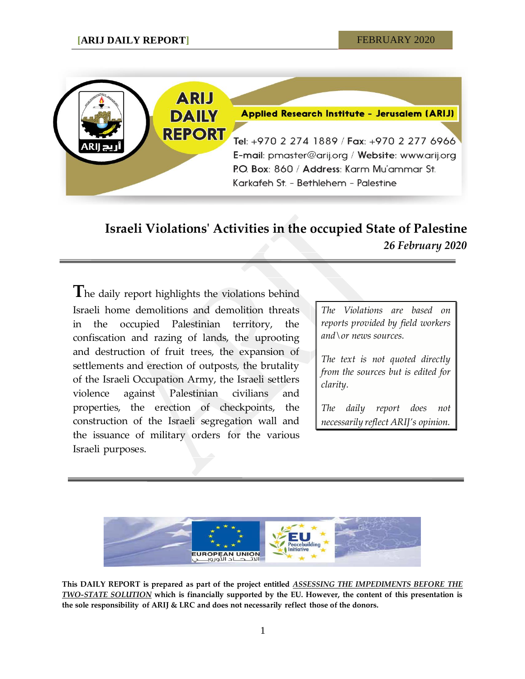

## **Israeli Violations' Activities in the occupied State of Palestine** *26 February 2020*

**T**he daily report highlights the violations behind Israeli home demolitions and demolition threats in the occupied Palestinian territory, the confiscation and razing of lands, the uprooting and destruction of fruit trees, the expansion of settlements and erection of outposts, the brutality of the Israeli Occupation Army, the Israeli settlers violence against Palestinian civilians and properties, the erection of checkpoints, the construction of the Israeli segregation wall and the issuance of military orders for the various Israeli purposes.

*The Violations are based on reports provided by field workers and\or news sources.*

*The text is not quoted directly from the sources but is edited for clarity.*

*The daily report does not necessarily reflect ARIJ's opinion.*



**This DAILY REPORT is prepared as part of the project entitled** *ASSESSING THE IMPEDIMENTS BEFORE THE TWO-STATE SOLUTION* **which is financially supported by the EU. However, the content of this presentation is the sole responsibility of ARIJ & LRC and does not necessarily reflect those of the donors.**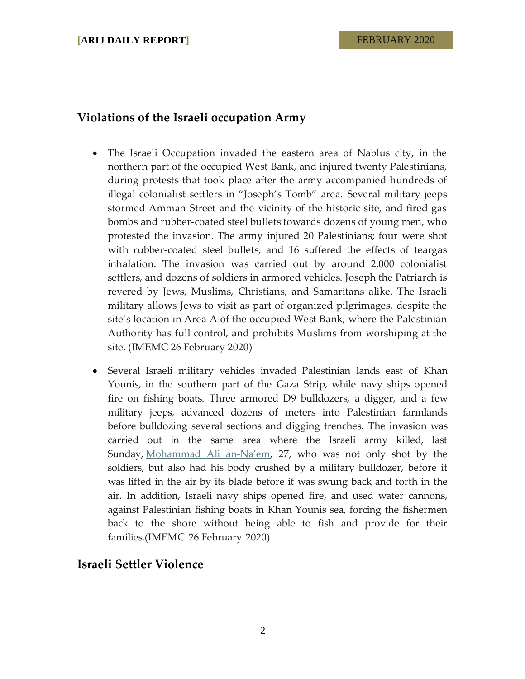## **Violations of the Israeli occupation Army**

- The Israeli Occupation invaded the eastern area of Nablus city, in the northern part of the occupied West Bank, and injured twenty Palestinians, during protests that took place after the army accompanied hundreds of illegal colonialist settlers in "Joseph's Tomb" area. Several military jeeps stormed Amman Street and the vicinity of the historic site, and fired gas bombs and rubber-coated steel bullets towards dozens of young men, who protested the invasion. The army injured 20 Palestinians; four were shot with rubber-coated steel bullets, and 16 suffered the effects of teargas inhalation. The invasion was carried out by around 2,000 colonialist settlers, and dozens of soldiers in armored vehicles. Joseph the Patriarch is revered by Jews, Muslims, Christians, and Samaritans alike. The Israeli military allows Jews to visit as part of organized pilgrimages, despite the site's location in Area A of the occupied West Bank, where the Palestinian Authority has full control, and prohibits Muslims from worshiping at the site. (IMEMC 26 February 2020)
- Several Israeli military vehicles invaded Palestinian lands east of Khan Younis, in the southern part of the Gaza Strip, while navy ships opened fire on fishing boats. Three armored D9 bulldozers, a digger, and a few military jeeps, advanced dozens of meters into Palestinian farmlands before bulldozing several sections and digging trenches. The invasion was carried out in the same area where the Israeli army killed, last Sunday, [Mohammad Ali an-](https://israelpalestinetimeline.org/mohammad-ali-hasan-an-naem/)Na'em, 27, who was not only shot by the soldiers, but also had his body crushed by a military bulldozer, before it was lifted in the air by its blade before it was swung back and forth in the air. In addition, Israeli navy ships opened fire, and used water cannons, against Palestinian fishing boats in Khan Younis sea, forcing the fishermen back to the shore without being able to fish and provide for their families.(IMEMC 26 February 2020)

## **Israeli Settler Violence**